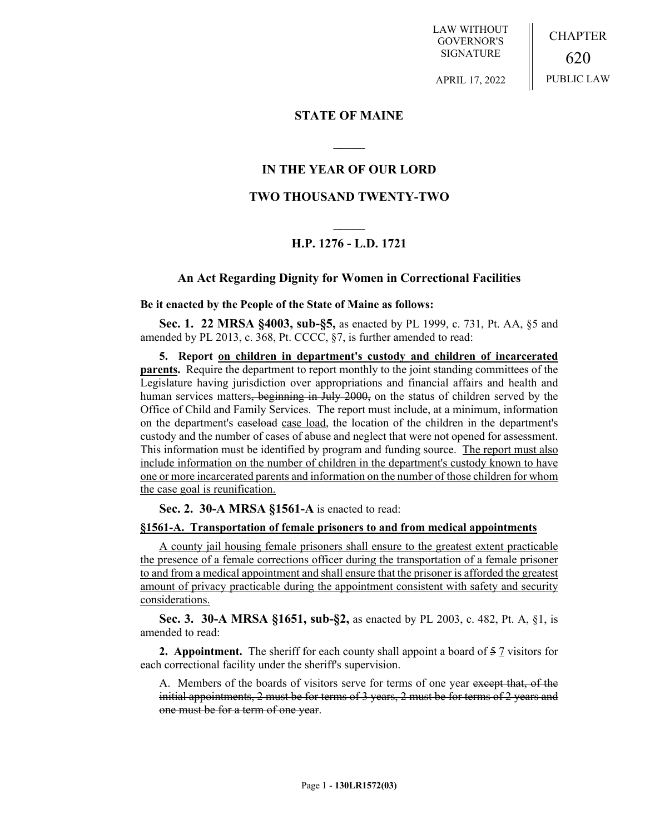LAW WITHOUT GOVERNOR'S SIGNATURE

CHAPTER 620 PUBLIC LAW

APRIL 17, 2022

## **STATE OF MAINE**

## **IN THE YEAR OF OUR LORD**

**\_\_\_\_\_**

## **TWO THOUSAND TWENTY-TWO**

# **\_\_\_\_\_ H.P. 1276 - L.D. 1721**

### **An Act Regarding Dignity for Women in Correctional Facilities**

### **Be it enacted by the People of the State of Maine as follows:**

**Sec. 1. 22 MRSA §4003, sub-§5,** as enacted by PL 1999, c. 731, Pt. AA, §5 and amended by PL 2013, c. 368, Pt. CCCC, §7, is further amended to read:

**5. Report on children in department's custody and children of incarcerated parents.** Require the department to report monthly to the joint standing committees of the Legislature having jurisdiction over appropriations and financial affairs and health and human services matters, beginning in July 2000, on the status of children served by the Office of Child and Family Services. The report must include, at a minimum, information on the department's caseload case load, the location of the children in the department's custody and the number of cases of abuse and neglect that were not opened for assessment. This information must be identified by program and funding source. The report must also include information on the number of children in the department's custody known to have one or more incarcerated parents and information on the number of those children for whom the case goal is reunification.

**Sec. 2. 30-A MRSA §1561-A** is enacted to read:

#### **§1561-A. Transportation of female prisoners to and from medical appointments**

A county jail housing female prisoners shall ensure to the greatest extent practicable the presence of a female corrections officer during the transportation of a female prisoner to and from a medical appointment and shall ensure that the prisoner is afforded the greatest amount of privacy practicable during the appointment consistent with safety and security considerations.

**Sec. 3. 30-A MRSA §1651, sub-§2,** as enacted by PL 2003, c. 482, Pt. A, §1, is amended to read:

**2. Appointment.** The sheriff for each county shall appoint a board of 5.7 visitors for each correctional facility under the sheriff's supervision.

A. Members of the boards of visitors serve for terms of one year except that, of the initial appointments, 2 must be for terms of 3 years, 2 must be for terms of 2 years and one must be for a term of one year.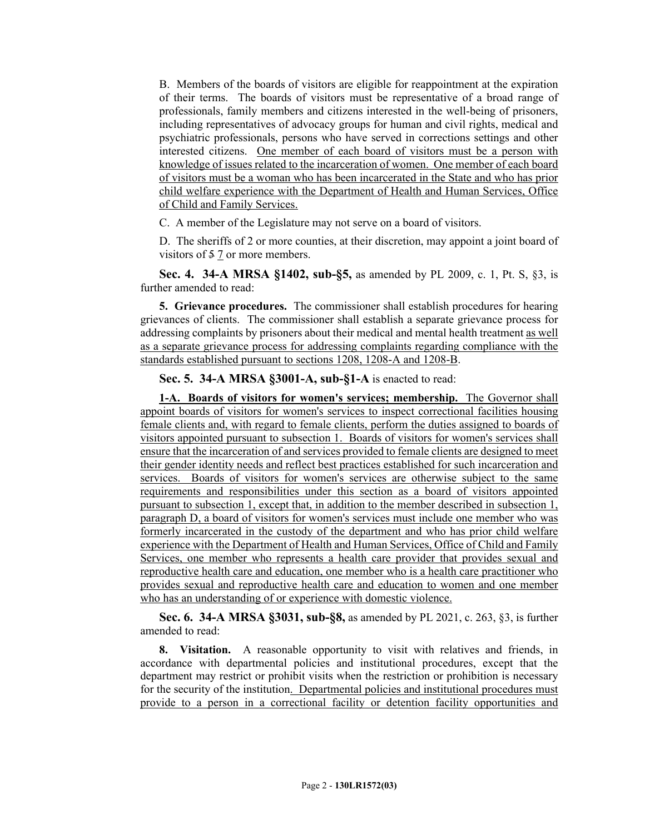B. Members of the boards of visitors are eligible for reappointment at the expiration of their terms. The boards of visitors must be representative of a broad range of professionals, family members and citizens interested in the well-being of prisoners, including representatives of advocacy groups for human and civil rights, medical and psychiatric professionals, persons who have served in corrections settings and other interested citizens. One member of each board of visitors must be a person with knowledge of issues related to the incarceration of women. One member of each board of visitors must be a woman who has been incarcerated in the State and who has prior child welfare experience with the Department of Health and Human Services, Office of Child and Family Services.

C. A member of the Legislature may not serve on a board of visitors.

D. The sheriffs of 2 or more counties, at their discretion, may appoint a joint board of visitors of 5 7 or more members.

**Sec. 4. 34-A MRSA §1402, sub-§5,** as amended by PL 2009, c. 1, Pt. S, §3, is further amended to read:

**5. Grievance procedures.** The commissioner shall establish procedures for hearing grievances of clients. The commissioner shall establish a separate grievance process for addressing complaints by prisoners about their medical and mental health treatment as well as a separate grievance process for addressing complaints regarding compliance with the standards established pursuant to sections 1208, 1208-A and 1208-B.

## **Sec. 5. 34-A MRSA §3001-A, sub-§1-A** is enacted to read:

**1-A. Boards of visitors for women's services; membership.** The Governor shall appoint boards of visitors for women's services to inspect correctional facilities housing female clients and, with regard to female clients, perform the duties assigned to boards of visitors appointed pursuant to subsection 1. Boards of visitors for women's services shall ensure that the incarceration of and services provided to female clients are designed to meet their gender identity needs and reflect best practices established for such incarceration and services. Boards of visitors for women's services are otherwise subject to the same requirements and responsibilities under this section as a board of visitors appointed pursuant to subsection 1, except that, in addition to the member described in subsection 1, paragraph D, a board of visitors for women's services must include one member who was formerly incarcerated in the custody of the department and who has prior child welfare experience with the Department of Health and Human Services, Office of Child and Family Services, one member who represents a health care provider that provides sexual and reproductive health care and education, one member who is a health care practitioner who provides sexual and reproductive health care and education to women and one member who has an understanding of or experience with domestic violence.

**Sec. 6. 34-A MRSA §3031, sub-§8,** as amended by PL 2021, c. 263, §3, is further amended to read:

**8. Visitation.** A reasonable opportunity to visit with relatives and friends, in accordance with departmental policies and institutional procedures, except that the department may restrict or prohibit visits when the restriction or prohibition is necessary for the security of the institution. Departmental policies and institutional procedures must provide to a person in a correctional facility or detention facility opportunities and